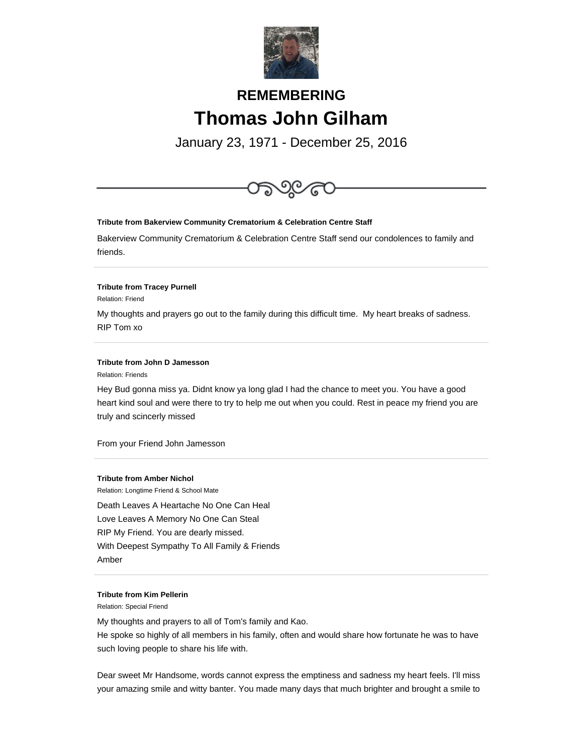

# **REMEMBERING Thomas John Gilham**

January 23, 1971 - December 25, 2016



**Tribute from Amber Nichol**

Relation: Longtime Friend & School Mate Death Leaves A Heartache No One Can Heal Love Leaves A Memory No One Can Steal RIP My Friend. You are dearly missed. With Deepest Sympathy To All Family & Friends Amber

### **Tribute from Kim Pellerin**

Relation: Special Friend

My thoughts and prayers to all of Tom's family and Kao. He spoke so highly of all members in his family, often and would share how fortunate he was to have such loving people to share his life with.

Dear sweet Mr Handsome, words cannot express the emptiness and sadness my heart feels. I'll miss your amazing smile and witty banter. You made many days that much brighter and brought a smile to